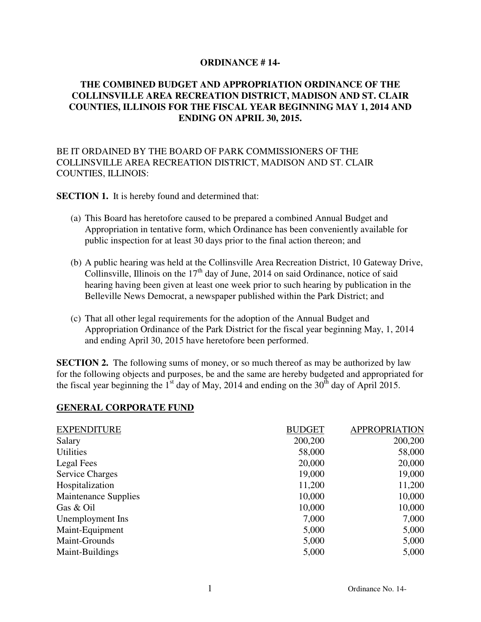#### **ORDINANCE # 14-**

### **THE COMBINED BUDGET AND APPROPRIATION ORDINANCE OF THE COLLINSVILLE AREA RECREATION DISTRICT, MADISON AND ST. CLAIR COUNTIES, ILLINOIS FOR THE FISCAL YEAR BEGINNING MAY 1, 2014 AND ENDING ON APRIL 30, 2015.**

### BE IT ORDAINED BY THE BOARD OF PARK COMMISSIONERS OF THE COLLINSVILLE AREA RECREATION DISTRICT, MADISON AND ST. CLAIR COUNTIES, ILLINOIS:

**SECTION 1.** It is hereby found and determined that:

- (a) This Board has heretofore caused to be prepared a combined Annual Budget and Appropriation in tentative form, which Ordinance has been conveniently available for public inspection for at least 30 days prior to the final action thereon; and
- (b) A public hearing was held at the Collinsville Area Recreation District, 10 Gateway Drive, Collinsville, Illinois on the  $17<sup>th</sup>$  day of June, 2014 on said Ordinance, notice of said hearing having been given at least one week prior to such hearing by publication in the Belleville News Democrat, a newspaper published within the Park District; and
- (c) That all other legal requirements for the adoption of the Annual Budget and Appropriation Ordinance of the Park District for the fiscal year beginning May, 1, 2014 and ending April 30, 2015 have heretofore been performed.

**SECTION 2.** The following sums of money, or so much thereof as may be authorized by law for the following objects and purposes, be and the same are hereby budgeted and appropriated for the fiscal year beginning the  $1<sup>st</sup>$  day of May, 2014 and ending on the 30<sup>th</sup> day of April 2015.

#### **GENERAL CORPORATE FUND**

| <b>EXPENDITURE</b>          | <b>BUDGET</b> | <b>APPROPRIATION</b> |
|-----------------------------|---------------|----------------------|
| Salary                      | 200,200       | 200,200              |
| <b>Utilities</b>            | 58,000        | 58,000               |
| Legal Fees                  | 20,000        | 20,000               |
| <b>Service Charges</b>      | 19,000        | 19,000               |
| Hospitalization             | 11,200        | 11,200               |
| <b>Maintenance Supplies</b> | 10,000        | 10,000               |
| Gas & Oil                   | 10,000        | 10,000               |
| Unemployment Ins            | 7,000         | 7,000                |
| Maint-Equipment             | 5,000         | 5,000                |
| Maint-Grounds               | 5,000         | 5,000                |
| Maint-Buildings             | 5,000         | 5,000                |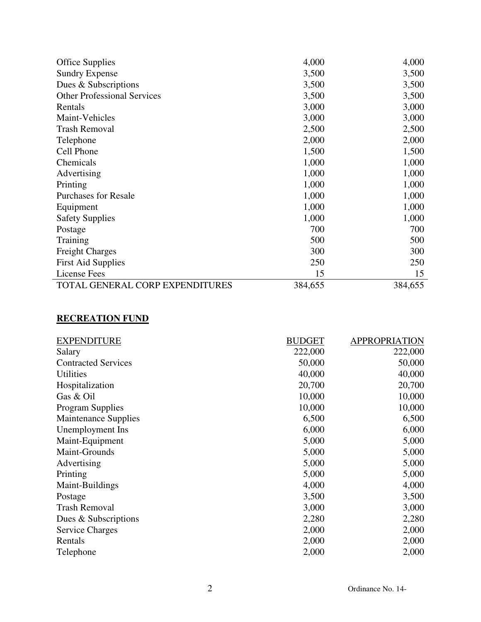| <b>Office Supplies</b>             | 4,000   | 4,000   |
|------------------------------------|---------|---------|
| <b>Sundry Expense</b>              | 3,500   | 3,500   |
| Dues & Subscriptions               | 3,500   | 3,500   |
| <b>Other Professional Services</b> | 3,500   | 3,500   |
| Rentals                            | 3,000   | 3,000   |
| Maint-Vehicles                     | 3,000   | 3,000   |
| <b>Trash Removal</b>               | 2,500   | 2,500   |
| Telephone                          | 2,000   | 2,000   |
| Cell Phone                         | 1,500   | 1,500   |
| Chemicals                          | 1,000   | 1,000   |
| Advertising                        | 1,000   | 1,000   |
| Printing                           | 1,000   | 1,000   |
| <b>Purchases for Resale</b>        | 1,000   | 1,000   |
| Equipment                          | 1,000   | 1,000   |
| <b>Safety Supplies</b>             | 1,000   | 1,000   |
| Postage                            | 700     | 700     |
| Training                           | 500     | 500     |
| <b>Freight Charges</b>             | 300     | 300     |
| <b>First Aid Supplies</b>          | 250     | 250     |
| License Fees                       | 15      | 15      |
| TOTAL GENERAL CORP EXPENDITURES    | 384,655 | 384,655 |

## **RECREATION FUND**

| <b>EXPENDITURE</b>          | <b>BUDGET</b> | <b>APPROPRIATION</b> |
|-----------------------------|---------------|----------------------|
| Salary                      | 222,000       | 222,000              |
| <b>Contracted Services</b>  | 50,000        | 50,000               |
| Utilities                   | 40,000        | 40,000               |
| Hospitalization             | 20,700        | 20,700               |
| Gas & Oil                   | 10,000        | 10,000               |
| <b>Program Supplies</b>     | 10,000        | 10,000               |
| <b>Maintenance Supplies</b> | 6,500         | 6,500                |
| Unemployment Ins            | 6,000         | 6,000                |
| Maint-Equipment             | 5,000         | 5,000                |
| Maint-Grounds               | 5,000         | 5,000                |
| Advertising                 | 5,000         | 5,000                |
| Printing                    | 5,000         | 5,000                |
| Maint-Buildings             | 4,000         | 4,000                |
| Postage                     | 3,500         | 3,500                |
| <b>Trash Removal</b>        | 3,000         | 3,000                |
| Dues & Subscriptions        | 2,280         | 2,280                |
| <b>Service Charges</b>      | 2,000         | 2,000                |
| Rentals                     | 2,000         | 2,000                |
| Telephone                   | 2,000         | 2,000                |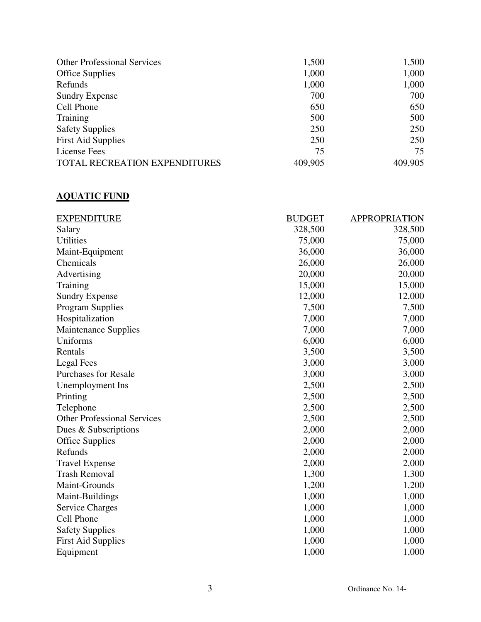| <b>Other Professional Services</b> | 1,500   | 1,500   |
|------------------------------------|---------|---------|
| <b>Office Supplies</b>             | 1,000   | 1,000   |
| Refunds                            | 1,000   | 1,000   |
| <b>Sundry Expense</b>              | 700     | 700     |
| Cell Phone                         | 650     | 650     |
| Training                           | 500     | 500     |
| <b>Safety Supplies</b>             | 250     | 250     |
| <b>First Aid Supplies</b>          | 250     | 250     |
| License Fees                       | 75      | 75      |
| TOTAL RECREATION EXPENDITURES      | 409,905 | 409,905 |

# **AQUATIC FUND**

| <b>EXPENDITURE</b>                 | <b>BUDGET</b> | <b>APPROPRIATION</b> |
|------------------------------------|---------------|----------------------|
| Salary                             | 328,500       | 328,500              |
| <b>Utilities</b>                   | 75,000        | 75,000               |
| Maint-Equipment                    | 36,000        | 36,000               |
| Chemicals                          | 26,000        | 26,000               |
| Advertising                        | 20,000        | 20,000               |
| Training                           | 15,000        | 15,000               |
| <b>Sundry Expense</b>              | 12,000        | 12,000               |
| <b>Program Supplies</b>            | 7,500         | 7,500                |
| Hospitalization                    | 7,000         | 7,000                |
| <b>Maintenance Supplies</b>        | 7,000         | 7,000                |
| Uniforms                           | 6,000         | 6,000                |
| Rentals                            | 3,500         | 3,500                |
| <b>Legal Fees</b>                  | 3,000         | 3,000                |
| <b>Purchases for Resale</b>        | 3,000         | 3,000                |
| Unemployment Ins                   | 2,500         | 2,500                |
| Printing                           | 2,500         | 2,500                |
| Telephone                          | 2,500         | 2,500                |
| <b>Other Professional Services</b> | 2,500         | 2,500                |
| Dues & Subscriptions               | 2,000         | 2,000                |
| <b>Office Supplies</b>             | 2,000         | 2,000                |
| Refunds                            | 2,000         | 2,000                |
| <b>Travel Expense</b>              | 2,000         | 2,000                |
| <b>Trash Removal</b>               | 1,300         | 1,300                |
| Maint-Grounds                      | 1,200         | 1,200                |
| Maint-Buildings                    | 1,000         | 1,000                |
| <b>Service Charges</b>             | 1,000         | 1,000                |
| Cell Phone                         | 1,000         | 1,000                |
| <b>Safety Supplies</b>             | 1,000         | 1,000                |
| <b>First Aid Supplies</b>          | 1,000         | 1,000                |
| Equipment                          | 1,000         | 1,000                |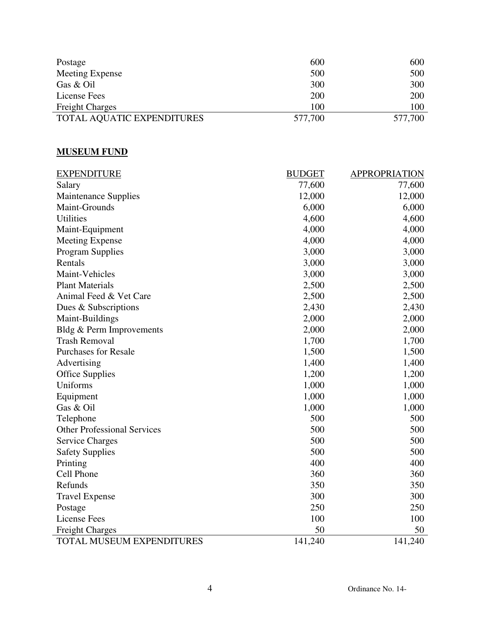| Postage                    | 600     | 600     |
|----------------------------|---------|---------|
| Meeting Expense            | 500     | 500     |
| Gas & Oil                  | 300     | 300     |
| License Fees               | 200     | 200     |
| <b>Freight Charges</b>     | 100     | 100     |
| TOTAL AQUATIC EXPENDITURES | 577,700 | 577,700 |

### **MUSEUM FUND**

| <b>EXPENDITURE</b>                 | <b>BUDGET</b> | <b>APPROPRIATION</b> |
|------------------------------------|---------------|----------------------|
| Salary                             | 77,600        | 77,600               |
| <b>Maintenance Supplies</b>        | 12,000        | 12,000               |
| Maint-Grounds                      | 6,000         | 6,000                |
| <b>Utilities</b>                   | 4,600         | 4,600                |
| Maint-Equipment                    | 4,000         | 4,000                |
| <b>Meeting Expense</b>             | 4,000         | 4,000                |
| <b>Program Supplies</b>            | 3,000         | 3,000                |
| Rentals                            | 3,000         | 3,000                |
| Maint-Vehicles                     | 3,000         | 3,000                |
| <b>Plant Materials</b>             | 2,500         | 2,500                |
| Animal Feed & Vet Care             | 2,500         | 2,500                |
| Dues & Subscriptions               | 2,430         | 2,430                |
| Maint-Buildings                    | 2,000         | 2,000                |
| Bldg & Perm Improvements           | 2,000         | 2,000                |
| <b>Trash Removal</b>               | 1,700         | 1,700                |
| <b>Purchases for Resale</b>        | 1,500         | 1,500                |
| Advertising                        | 1,400         | 1,400                |
| <b>Office Supplies</b>             | 1,200         | 1,200                |
| Uniforms                           | 1,000         | 1,000                |
| Equipment                          | 1,000         | 1,000                |
| Gas & Oil                          | 1,000         | 1,000                |
| Telephone                          | 500           | 500                  |
| <b>Other Professional Services</b> | 500           | 500                  |
| <b>Service Charges</b>             | 500           | 500                  |
| <b>Safety Supplies</b>             | 500           | 500                  |
| Printing                           | 400           | 400                  |
| Cell Phone                         | 360           | 360                  |
| Refunds                            | 350           | 350                  |
| <b>Travel Expense</b>              | 300           | 300                  |
| Postage                            | 250           | 250                  |
| <b>License Fees</b>                | 100           | 100                  |
| <b>Freight Charges</b>             | 50            | 50                   |
| TOTAL MUSEUM EXPENDITURES          | 141,240       | 141,240              |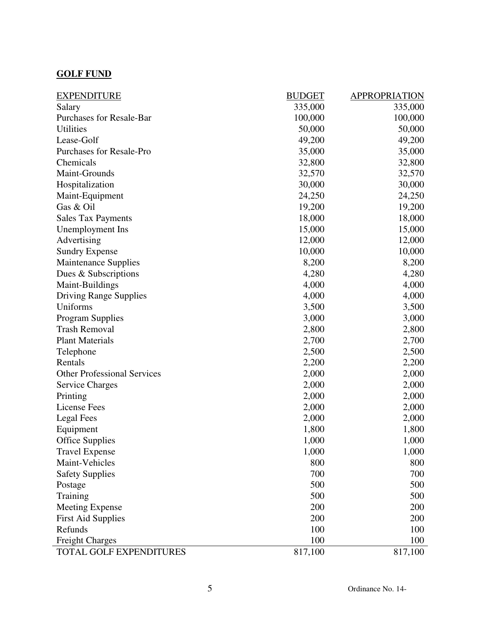### **GOLF FUND**

| <b>EXPENDITURE</b>                 | <b>BUDGET</b> | <b>APPROPRIATION</b> |
|------------------------------------|---------------|----------------------|
| Salary                             | 335,000       | 335,000              |
| <b>Purchases for Resale-Bar</b>    | 100,000       | 100,000              |
| Utilities                          | 50,000        | 50,000               |
| Lease-Golf                         | 49,200        | 49,200               |
| Purchases for Resale-Pro           | 35,000        | 35,000               |
| Chemicals                          | 32,800        | 32,800               |
| Maint-Grounds                      | 32,570        | 32,570               |
| Hospitalization                    | 30,000        | 30,000               |
| Maint-Equipment                    | 24,250        | 24,250               |
| Gas & Oil                          | 19,200        | 19,200               |
| <b>Sales Tax Payments</b>          | 18,000        | 18,000               |
| Unemployment Ins                   | 15,000        | 15,000               |
| Advertising                        | 12,000        | 12,000               |
| <b>Sundry Expense</b>              | 10,000        | 10,000               |
| <b>Maintenance Supplies</b>        | 8,200         | 8,200                |
| Dues & Subscriptions               | 4,280         | 4,280                |
| Maint-Buildings                    | 4,000         | 4,000                |
| <b>Driving Range Supplies</b>      | 4,000         | 4,000                |
| Uniforms                           | 3,500         | 3,500                |
| <b>Program Supplies</b>            | 3,000         | 3,000                |
| <b>Trash Removal</b>               | 2,800         | 2,800                |
| <b>Plant Materials</b>             | 2,700         | 2,700                |
| Telephone                          | 2,500         | 2,500                |
| Rentals                            | 2,200         | 2,200                |
| <b>Other Professional Services</b> | 2,000         | 2,000                |
| <b>Service Charges</b>             | 2,000         | 2,000                |
| Printing                           | 2,000         | 2,000                |
| <b>License Fees</b>                | 2,000         | 2,000                |
| <b>Legal Fees</b>                  | 2,000         | 2,000                |
| Equipment                          | 1,800         | 1,800                |
| <b>Office Supplies</b>             | 1,000         | 1,000                |
| <b>Travel Expense</b>              | 1,000         | 1,000                |
| Maint-Vehicles                     | 800           | 800                  |
| <b>Safety Supplies</b>             | 700           | 700                  |
| Postage                            | 500           | 500                  |
| Training                           | 500           | 500                  |
| <b>Meeting Expense</b>             | 200           | 200                  |
| <b>First Aid Supplies</b>          | 200           | 200                  |
| Refunds                            | 100           | 100                  |
| <b>Freight Charges</b>             | 100           | 100                  |
| TOTAL GOLF EXPENDITURES            | 817,100       | 817,100              |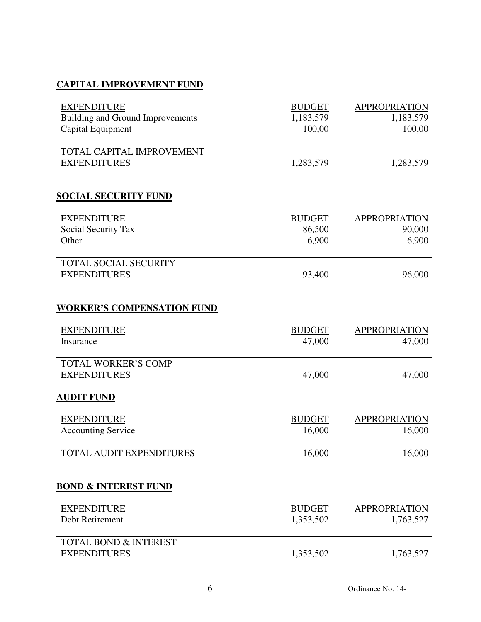# **CAPITAL IMPROVEMENT FUND**

| <b>EXPENDITURE</b>                | <b>BUDGET</b> | <b>APPROPRIATION</b> |
|-----------------------------------|---------------|----------------------|
| Building and Ground Improvements  | 1,183,579     | 1,183,579            |
| Capital Equipment                 | 100,00        | 100,00               |
| TOTAL CAPITAL IMPROVEMENT         |               |                      |
| <b>EXPENDITURES</b>               | 1,283,579     | 1,283,579            |
| <b>SOCIAL SECURITY FUND</b>       |               |                      |
| <b>EXPENDITURE</b>                | <b>BUDGET</b> | <b>APPROPRIATION</b> |
| Social Security Tax               | 86,500        | 90,000               |
| Other                             | 6,900         | 6,900                |
| <b>TOTAL SOCIAL SECURITY</b>      |               |                      |
| <b>EXPENDITURES</b>               | 93,400        | 96,000               |
| <b>WORKER'S COMPENSATION FUND</b> |               |                      |
| <b>EXPENDITURE</b>                | <b>BUDGET</b> | <b>APPROPRIATION</b> |
| Insurance                         | 47,000        | 47,000               |
| <b>TOTAL WORKER'S COMP</b>        |               |                      |
| <b>EXPENDITURES</b>               | 47,000        | 47,000               |
| <b>AUDIT FUND</b>                 |               |                      |
| <b>EXPENDITURE</b>                | <b>BUDGET</b> | <b>APPROPRIATION</b> |
| <b>Accounting Service</b>         | 16,000        | 16,000               |
| TOTAL AUDIT EXPENDITURES          | 16,000        | 16,000               |
| <b>BOND &amp; INTEREST FUND</b>   |               |                      |
| <b>EXPENDITURE</b>                | <b>BUDGET</b> | <b>APPROPRIATION</b> |
| Debt Retirement                   | 1,353,502     | 1,763,527            |
| <b>TOTAL BOND &amp; INTEREST</b>  |               |                      |
| <b>EXPENDITURES</b>               | 1,353,502     | 1,763,527            |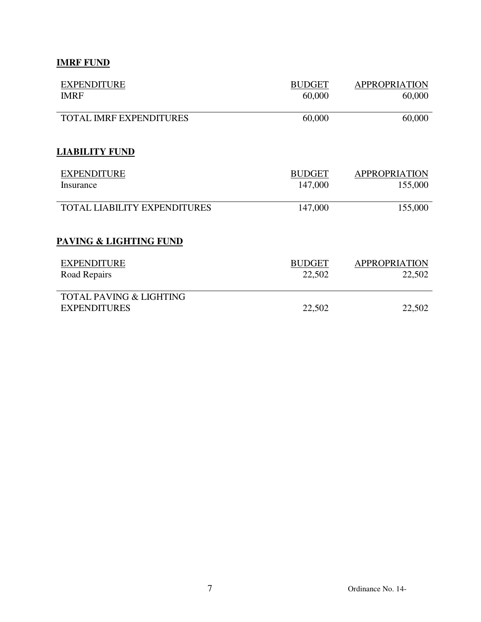# **IMRF FUND**

| <b>EXPENDITURE</b>                  | <b>BUDGET</b> | <b>APPROPRIATION</b> |
|-------------------------------------|---------------|----------------------|
| <b>IMRF</b>                         | 60,000        | 60,000               |
| <b>TOTAL IMRF EXPENDITURES</b>      | 60,000        | 60,000               |
| <b>LIABILITY FUND</b>               |               |                      |
| <b>EXPENDITURE</b>                  | <b>BUDGET</b> | <b>APPROPRIATION</b> |
| Insurance                           | 147,000       | 155,000              |
| <b>TOTAL LIABILITY EXPENDITURES</b> | 147,000       | 155,000              |
| PAVING & LIGHTING FUND              |               |                      |
| <b>EXPENDITURE</b>                  | <b>BUDGET</b> | <b>APPROPRIATION</b> |
| Road Repairs                        | 22,502        | 22,502               |
| <b>TOTAL PAVING &amp; LIGHTING</b>  |               |                      |
| <b>EXPENDITURES</b>                 | 22,502        | 22,502               |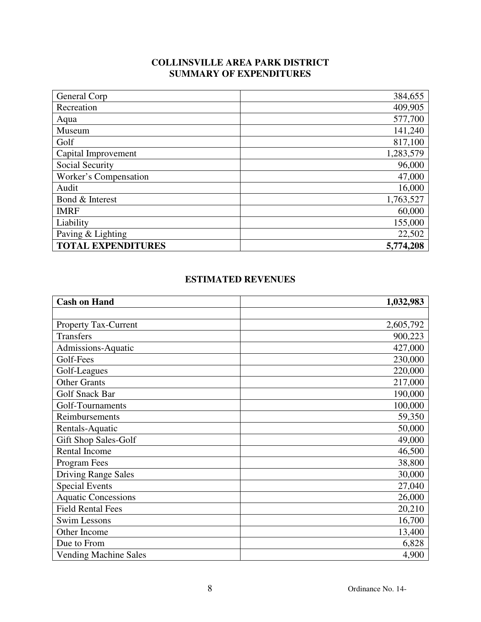## **COLLINSVILLE AREA PARK DISTRICT SUMMARY OF EXPENDITURES**

| General Corp              | 384,655   |
|---------------------------|-----------|
| Recreation                | 409,905   |
| Aqua                      | 577,700   |
| Museum                    | 141,240   |
| Golf                      | 817,100   |
| Capital Improvement       | 1,283,579 |
| Social Security           | 96,000    |
| Worker's Compensation     | 47,000    |
| Audit                     | 16,000    |
| Bond & Interest           | 1,763,527 |
| <b>IMRF</b>               | 60,000    |
| Liability                 | 155,000   |
| Paving & Lighting         | 22,502    |
| <b>TOTAL EXPENDITURES</b> | 5,774,208 |

### **ESTIMATED REVENUES**

| <b>Cash on Hand</b>          | 1,032,983 |
|------------------------------|-----------|
|                              |           |
| <b>Property Tax-Current</b>  | 2,605,792 |
| <b>Transfers</b>             | 900,223   |
| Admissions-Aquatic           | 427,000   |
| Golf-Fees                    | 230,000   |
| Golf-Leagues                 | 220,000   |
| <b>Other Grants</b>          | 217,000   |
| <b>Golf Snack Bar</b>        | 190,000   |
| Golf-Tournaments             | 100,000   |
| Reimbursements               | 59,350    |
| Rentals-Aquatic              | 50,000    |
| Gift Shop Sales-Golf         | 49,000    |
| <b>Rental Income</b>         | 46,500    |
| Program Fees                 | 38,800    |
| <b>Driving Range Sales</b>   | 30,000    |
| <b>Special Events</b>        | 27,040    |
| <b>Aquatic Concessions</b>   | 26,000    |
| <b>Field Rental Fees</b>     | 20,210    |
| <b>Swim Lessons</b>          | 16,700    |
| Other Income                 | 13,400    |
| Due to From                  | 6,828     |
| <b>Vending Machine Sales</b> | 4,900     |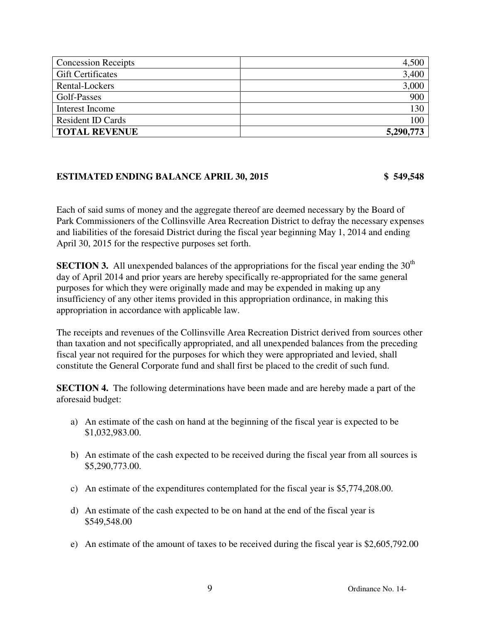| <b>Concession Receipts</b> | 4,500     |
|----------------------------|-----------|
| <b>Gift Certificates</b>   | 3,400     |
| Rental-Lockers             | 3,000     |
| Golf-Passes                | 900       |
| Interest Income            | 130       |
| <b>Resident ID Cards</b>   | 100       |
| <b>TOTAL REVENUE</b>       | 5,290,773 |

### **ESTIMATED ENDING BALANCE APRIL 30, 2015 \$ 549,548**

Each of said sums of money and the aggregate thereof are deemed necessary by the Board of Park Commissioners of the Collinsville Area Recreation District to defray the necessary expenses and liabilities of the foresaid District during the fiscal year beginning May 1, 2014 and ending April 30, 2015 for the respective purposes set forth.

**SECTION 3.** All unexpended balances of the appropriations for the fiscal year ending the  $30<sup>th</sup>$ day of April 2014 and prior years are hereby specifically re-appropriated for the same general purposes for which they were originally made and may be expended in making up any insufficiency of any other items provided in this appropriation ordinance, in making this appropriation in accordance with applicable law.

The receipts and revenues of the Collinsville Area Recreation District derived from sources other than taxation and not specifically appropriated, and all unexpended balances from the preceding fiscal year not required for the purposes for which they were appropriated and levied, shall constitute the General Corporate fund and shall first be placed to the credit of such fund.

**SECTION 4.** The following determinations have been made and are hereby made a part of the aforesaid budget:

- a) An estimate of the cash on hand at the beginning of the fiscal year is expected to be \$1,032,983.00.
- b) An estimate of the cash expected to be received during the fiscal year from all sources is \$5,290,773.00.
- c) An estimate of the expenditures contemplated for the fiscal year is \$5,774,208.00.
- d) An estimate of the cash expected to be on hand at the end of the fiscal year is \$549,548.00
- e) An estimate of the amount of taxes to be received during the fiscal year is \$2,605,792.00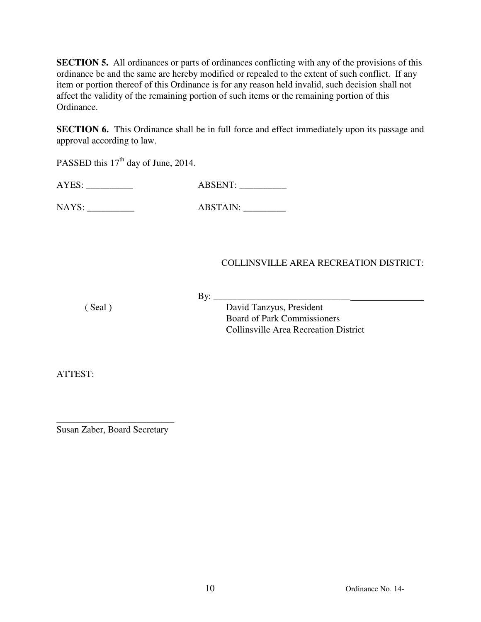**SECTION 5.** All ordinances or parts of ordinances conflicting with any of the provisions of this ordinance be and the same are hereby modified or repealed to the extent of such conflict. If any item or portion thereof of this Ordinance is for any reason held invalid, such decision shall not affect the validity of the remaining portion of such items or the remaining portion of this Ordinance.

**SECTION 6.** This Ordinance shall be in full force and effect immediately upon its passage and approval according to law.

PASSED this 17<sup>th</sup> day of June, 2014.

AYES: \_\_\_\_\_\_\_\_\_\_ ABSENT: \_\_\_\_\_\_\_\_\_\_

NAYS: \_\_\_\_\_\_\_\_\_\_ ABSTAIN: \_\_\_\_\_\_\_\_\_

### COLLINSVILLE AREA RECREATION DISTRICT:

By: $\frac{\text{y}}{\text{y}}$ 

 ( Seal ) David Tanzyus, President Board of Park Commissioners Collinsville Area Recreation District

ATTEST:

\_\_\_\_\_\_\_\_\_\_\_\_\_\_\_\_\_\_\_\_\_\_\_\_\_ Susan Zaber, Board Secretary